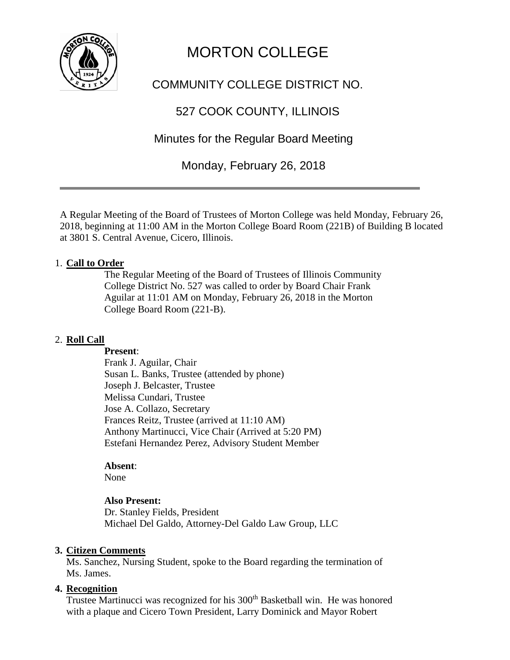

# MORTON COLLEGE

# COMMUNITY COLLEGE DISTRICT NO.

# 527 COOK COUNTY, ILLINOIS

# Minutes for the Regular Board Meeting

Monday, February 26, 2018

A Regular Meeting of the Board of Trustees of Morton College was held Monday, February 26, 2018, beginning at 11:00 AM in the Morton College Board Room (221B) of Building B located at 3801 S. Central Avenue, Cicero, Illinois.

#### 1. **Call to Order**

The Regular Meeting of the Board of Trustees of Illinois Community College District No. 527 was called to order by Board Chair Frank Aguilar at 11:01 AM on Monday, February 26, 2018 in the Morton College Board Room (221-B).

#### 2. **Roll Call**

#### **Present**:

Frank J. Aguilar, Chair Susan L. Banks, Trustee (attended by phone) Joseph J. Belcaster, Trustee Melissa Cundari, Trustee Jose A. Collazo, Secretary Frances Reitz, Trustee (arrived at 11:10 AM) Anthony Martinucci, Vice Chair (Arrived at 5:20 PM) Estefani Hernandez Perez, Advisory Student Member

#### **Absent**:

None

#### **Also Present:**

Dr. Stanley Fields, President Michael Del Galdo, Attorney-Del Galdo Law Group, LLC

#### **3. Citizen Comments**

Ms. Sanchez, Nursing Student, spoke to the Board regarding the termination of Ms. James.

#### **4. Recognition**

Trustee Martinucci was recognized for his 300<sup>th</sup> Basketball win. He was honored with a plaque and Cicero Town President, Larry Dominick and Mayor Robert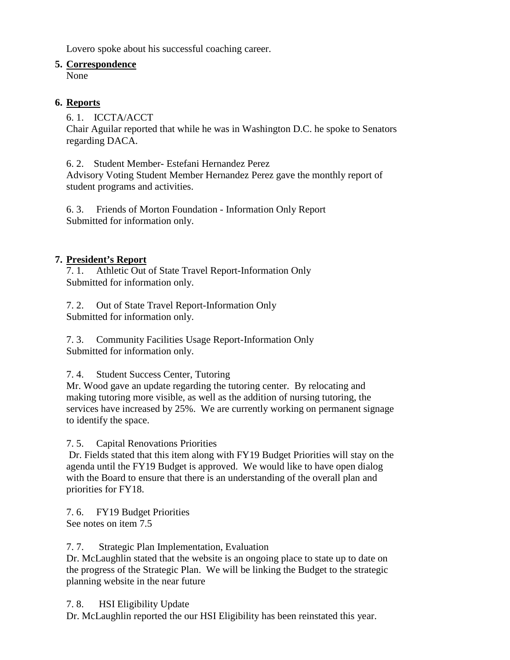Lovero spoke about his successful coaching career.

### **5. Correspondence**

None

## **6. Reports**

6. 1. ICCTA/ACCT

Chair Aguilar reported that while he was in Washington D.C. he spoke to Senators regarding DACA.

6. 2. Student Member- Estefani Hernandez Perez

Advisory Voting Student Member Hernandez Perez gave the monthly report of student programs and activities.

6. 3. Friends of Morton Foundation - Information Only Report Submitted for information only.

## **7. President's Report**

7. 1. Athletic Out of State Travel Report-Information Only Submitted for information only.

7. 2. Out of State Travel Report-Information Only Submitted for information only.

7. 3. Community Facilities Usage Report-Information Only Submitted for information only.

## 7. 4. Student Success Center, Tutoring

Mr. Wood gave an update regarding the tutoring center. By relocating and making tutoring more visible, as well as the addition of nursing tutoring, the services have increased by 25%. We are currently working on permanent signage to identify the space.

7. 5. Capital Renovations Priorities

Dr. Fields stated that this item along with FY19 Budget Priorities will stay on the agenda until the FY19 Budget is approved. We would like to have open dialog with the Board to ensure that there is an understanding of the overall plan and priorities for FY18.

7. 6. FY19 Budget Priorities See notes on item 7.5

7. 7. Strategic Plan Implementation, Evaluation

Dr. McLaughlin stated that the website is an ongoing place to state up to date on the progress of the Strategic Plan. We will be linking the Budget to the strategic planning website in the near future

7. 8. HSI Eligibility Update

Dr. McLaughlin reported the our HSI Eligibility has been reinstated this year.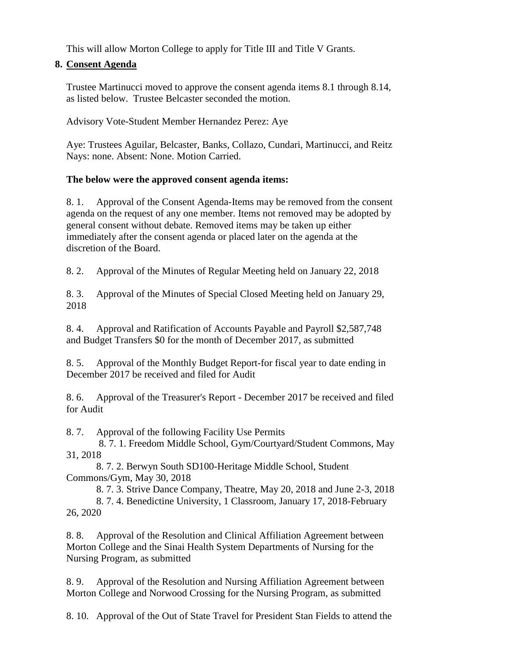This will allow Morton College to apply for Title III and Title V Grants.

#### **8. Consent Agenda**

Trustee Martinucci moved to approve the consent agenda items 8.1 through 8.14, as listed below. Trustee Belcaster seconded the motion.

Advisory Vote-Student Member Hernandez Perez: Aye

Aye: Trustees Aguilar, Belcaster, Banks, Collazo, Cundari, Martinucci, and Reitz Nays: none. Absent: None. Motion Carried.

### **The below were the approved consent agenda items:**

8. 1. Approval of the Consent Agenda-Items may be removed from the consent agenda on the request of any one member. Items not removed may be adopted by general consent without debate. Removed items may be taken up either immediately after the consent agenda or placed later on the agenda at the discretion of the Board.

8. 2. Approval of the Minutes of Regular Meeting held on January 22, 2018

8. 3. Approval of the Minutes of Special Closed Meeting held on January 29, 2018

8. 4. Approval and Ratification of Accounts Payable and Payroll \$2,587,748 and Budget Transfers \$0 for the month of December 2017, as submitted

8. 5. Approval of the Monthly Budget Report-for fiscal year to date ending in December 2017 be received and filed for Audit

8. 6. Approval of the Treasurer's Report - December 2017 be received and filed for Audit

8. 7. Approval of the following Facility Use Permits

 8. 7. 1. Freedom Middle School, Gym/Courtyard/Student Commons, May 31, 2018

 8. 7. 2. Berwyn South SD100-Heritage Middle School, Student Commons/Gym, May 30, 2018

8. 7. 3. Strive Dance Company, Theatre, May 20, 2018 and June 2-3, 2018

 8. 7. 4. Benedictine University, 1 Classroom, January 17, 2018-February 26, 2020

8. 8. Approval of the Resolution and Clinical Affiliation Agreement between Morton College and the Sinai Health System Departments of Nursing for the Nursing Program, as submitted

8. 9. Approval of the Resolution and Nursing Affiliation Agreement between Morton College and Norwood Crossing for the Nursing Program, as submitted

8. 10. Approval of the Out of State Travel for President Stan Fields to attend the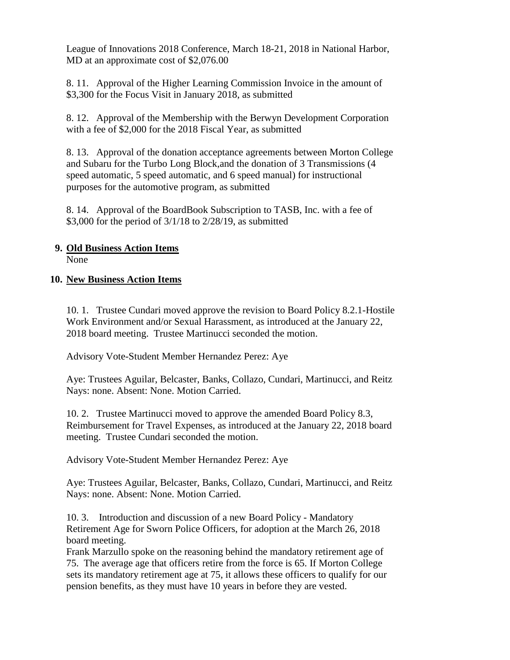League of Innovations 2018 Conference, March 18-21, 2018 in National Harbor, MD at an approximate cost of \$2,076.00

8. 11. Approval of the Higher Learning Commission Invoice in the amount of \$3,300 for the Focus Visit in January 2018, as submitted

8. 12. Approval of the Membership with the Berwyn Development Corporation with a fee of \$2,000 for the 2018 Fiscal Year, as submitted

8. 13. Approval of the donation acceptance agreements between Morton College and Subaru for the Turbo Long Block,and the donation of 3 Transmissions (4 speed automatic, 5 speed automatic, and 6 speed manual) for instructional purposes for the automotive program, as submitted

8. 14. Approval of the BoardBook Subscription to TASB, Inc. with a fee of \$3,000 for the period of 3/1/18 to 2/28/19, as submitted

#### **9. Old Business Action Items** None

#### **10. New Business Action Items**

10. 1. Trustee Cundari moved approve the revision to Board Policy 8.2.1-Hostile Work Environment and/or Sexual Harassment, as introduced at the January 22, 2018 board meeting. Trustee Martinucci seconded the motion.

Advisory Vote-Student Member Hernandez Perez: Aye

Aye: Trustees Aguilar, Belcaster, Banks, Collazo, Cundari, Martinucci, and Reitz Nays: none. Absent: None. Motion Carried.

10. 2. Trustee Martinucci moved to approve the amended Board Policy 8.3, Reimbursement for Travel Expenses, as introduced at the January 22, 2018 board meeting. Trustee Cundari seconded the motion.

Advisory Vote-Student Member Hernandez Perez: Aye

Aye: Trustees Aguilar, Belcaster, Banks, Collazo, Cundari, Martinucci, and Reitz Nays: none. Absent: None. Motion Carried.

10. 3. Introduction and discussion of a new Board Policy - Mandatory Retirement Age for Sworn Police Officers, for adoption at the March 26, 2018 board meeting.

Frank Marzullo spoke on the reasoning behind the mandatory retirement age of 75. The average age that officers retire from the force is 65. If Morton College sets its mandatory retirement age at 75, it allows these officers to qualify for our pension benefits, as they must have 10 years in before they are vested.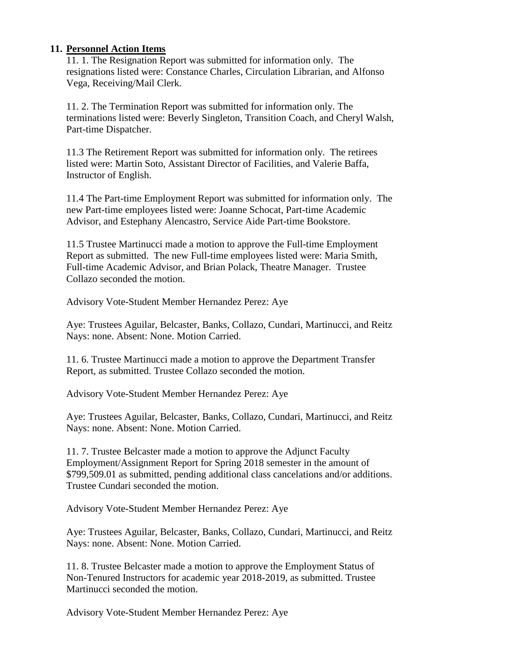#### **11. Personnel Action Items**

11. 1. The Resignation Report was submitted for information only. The resignations listed were: Constance Charles, Circulation Librarian, and Alfonso Vega, Receiving/Mail Clerk.

11. 2. The Termination Report was submitted for information only. The terminations listed were: Beverly Singleton, Transition Coach, and Cheryl Walsh, Part-time Dispatcher.

11.3 The Retirement Report was submitted for information only. The retirees listed were: Martin Soto, Assistant Director of Facilities, and Valerie Baffa, Instructor of English.

11.4 The Part-time Employment Report was submitted for information only. The new Part-time employees listed were: Joanne Schocat, Part-time Academic Advisor, and Estephany Alencastro, Service Aide Part-time Bookstore.

11.5 Trustee Martinucci made a motion to approve the Full-time Employment Report as submitted. The new Full-time employees listed were: Maria Smith, Full-time Academic Advisor, and Brian Polack, Theatre Manager. Trustee Collazo seconded the motion.

Advisory Vote-Student Member Hernandez Perez: Aye

Aye: Trustees Aguilar, Belcaster, Banks, Collazo, Cundari, Martinucci, and Reitz Nays: none. Absent: None. Motion Carried.

11. 6. Trustee Martinucci made a motion to approve the Department Transfer Report, as submitted. Trustee Collazo seconded the motion.

Advisory Vote-Student Member Hernandez Perez: Aye

Aye: Trustees Aguilar, Belcaster, Banks, Collazo, Cundari, Martinucci, and Reitz Nays: none. Absent: None. Motion Carried.

11. 7. Trustee Belcaster made a motion to approve the Adjunct Faculty Employment/Assignment Report for Spring 2018 semester in the amount of \$799,509.01 as submitted, pending additional class cancelations and/or additions. Trustee Cundari seconded the motion.

Advisory Vote-Student Member Hernandez Perez: Aye

Aye: Trustees Aguilar, Belcaster, Banks, Collazo, Cundari, Martinucci, and Reitz Nays: none. Absent: None. Motion Carried.

11. 8. Trustee Belcaster made a motion to approve the Employment Status of Non-Tenured Instructors for academic year 2018-2019, as submitted. Trustee Martinucci seconded the motion.

Advisory Vote-Student Member Hernandez Perez: Aye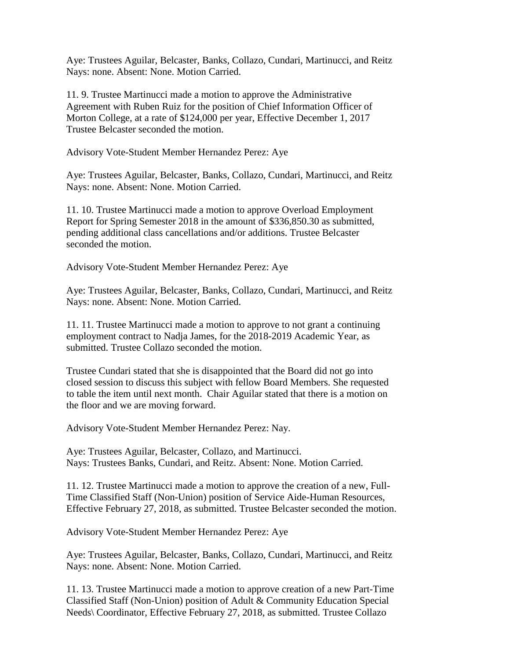Aye: Trustees Aguilar, Belcaster, Banks, Collazo, Cundari, Martinucci, and Reitz Nays: none. Absent: None. Motion Carried.

11. 9. Trustee Martinucci made a motion to approve the Administrative Agreement with Ruben Ruiz for the position of Chief Information Officer of Morton College, at a rate of \$124,000 per year, Effective December 1, 2017 Trustee Belcaster seconded the motion.

Advisory Vote-Student Member Hernandez Perez: Aye

Aye: Trustees Aguilar, Belcaster, Banks, Collazo, Cundari, Martinucci, and Reitz Nays: none. Absent: None. Motion Carried.

11. 10. Trustee Martinucci made a motion to approve Overload Employment Report for Spring Semester 2018 in the amount of \$336,850.30 as submitted, pending additional class cancellations and/or additions. Trustee Belcaster seconded the motion.

Advisory Vote-Student Member Hernandez Perez: Aye

Aye: Trustees Aguilar, Belcaster, Banks, Collazo, Cundari, Martinucci, and Reitz Nays: none. Absent: None. Motion Carried.

11. 11. Trustee Martinucci made a motion to approve to not grant a continuing employment contract to Nadja James, for the 2018-2019 Academic Year, as submitted. Trustee Collazo seconded the motion.

Trustee Cundari stated that she is disappointed that the Board did not go into closed session to discuss this subject with fellow Board Members. She requested to table the item until next month. Chair Aguilar stated that there is a motion on the floor and we are moving forward.

Advisory Vote-Student Member Hernandez Perez: Nay.

Aye: Trustees Aguilar, Belcaster, Collazo, and Martinucci. Nays: Trustees Banks, Cundari, and Reitz. Absent: None. Motion Carried.

11. 12. Trustee Martinucci made a motion to approve the creation of a new, Full-Time Classified Staff (Non-Union) position of Service Aide-Human Resources, Effective February 27, 2018, as submitted. Trustee Belcaster seconded the motion.

Advisory Vote-Student Member Hernandez Perez: Aye

Aye: Trustees Aguilar, Belcaster, Banks, Collazo, Cundari, Martinucci, and Reitz Nays: none. Absent: None. Motion Carried.

11. 13. Trustee Martinucci made a motion to approve creation of a new Part-Time Classified Staff (Non-Union) position of Adult & Community Education Special Needs\ Coordinator, Effective February 27, 2018, as submitted. Trustee Collazo